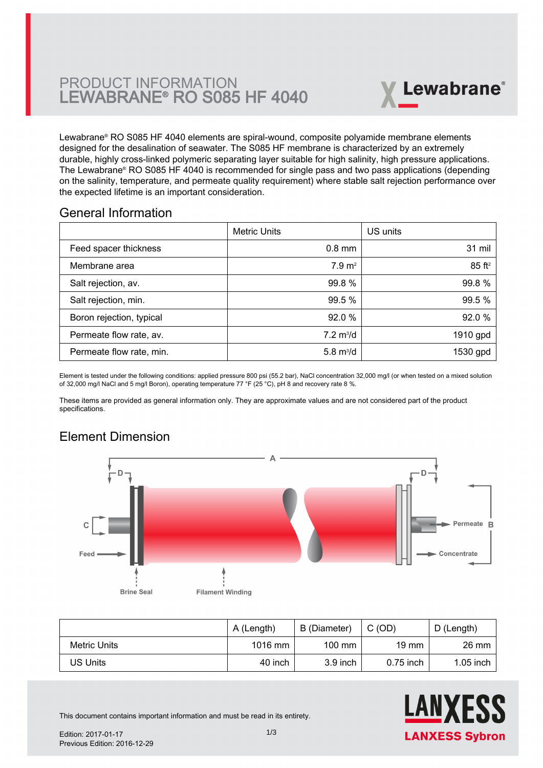

Lewabrane® RO S085 HF 4040 elements are spiral-wound, composite polyamide membrane elements designed for the desalination of seawater. The S085 HF membrane is characterized by an extremely durable, highly cross-linked polymeric separating layer suitable for high salinity, high pressure applications. The Lewabrane® RO S085 HF 4040 is recommended for single pass and two pass applications (depending [on the salinity, temperature, and permeate quality requirement\) where stable salt rejection performance over](https://www.pureaqua.com/lanxess-lewabrane-s085-hf-4040-membrane/) the expected lifetime is an important consideration.

#### General Information

|                          | <b>Metric Units</b>        | US units             |
|--------------------------|----------------------------|----------------------|
| Feed spacer thickness    | $0.8$ mm                   | 31 mil               |
| Membrane area            | $7.9 \text{ m}^2$          | $85$ ft <sup>2</sup> |
| Salt rejection, av.      | 99.8 %                     | 99.8%                |
| Salt rejection, min.     | 99.5 %                     | 99.5 %               |
| Boron rejection, typical | 92.0%                      | 92.0%                |
| Permeate flow rate, av.  | $7.2 \text{ m}^3/\text{d}$ | 1910 gpd             |
| Permeate flow rate, min. | 5.8 $m^3/d$                | 1530 gpd             |

Element is tested under the following conditions: applied pressure 800 psi (55.2 bar), NaCl concentration 32,000 mg/l (or when tested on a mixed solution of 32,000 mg/l NaCl and 5 mg/l Boron), operating temperature 77 °F (25 °C), pH 8 and recovery rate 8 %.

These items are provided as general information only. They are approximate values and are not considered part of the product specifications.

# Element Dimension



|              | A (Length) | B (Diameter)     | C(OD)           | D (Length)  |
|--------------|------------|------------------|-----------------|-------------|
| Metric Units | $1016$ mm  | $100 \text{ mm}$ | $19 \text{ mm}$ | 26 mm       |
| US Units     | 40 inch    | $3.9$ inch       | $0.75$ inch     | $1.05$ inch |



This document contains important information and must be read in its entirety.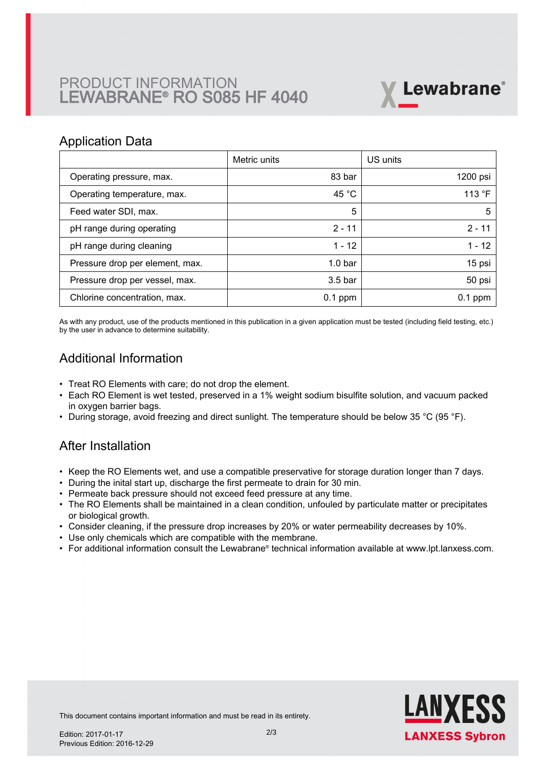# PRODUCT INFORMATION LEWABRANE® RO S085 HF 4040



#### Application Data

|                                 | Metric units       | US units  |
|---------------------------------|--------------------|-----------|
| Operating pressure, max.        | 83 bar             | 1200 psi  |
| Operating temperature, max.     | 45 $^{\circ}$ C    | 113 °F    |
| Feed water SDI, max.            | 5                  | 5         |
| pH range during operating       | $2 - 11$           | $2 - 11$  |
| pH range during cleaning        | $1 - 12$           | $1 - 12$  |
| Pressure drop per element, max. | 1.0 <sub>bar</sub> | 15 psi    |
| Pressure drop per vessel, max.  | 3.5 <sub>bar</sub> | 50 psi    |
| Chlorine concentration, max.    | $0.1$ ppm          | $0.1$ ppm |

As with any product, use of the products mentioned in this publication in a given application must be tested (including field testing, etc.) by the user in advance to determine suitability.

## Additional Information

- Treat RO Elements with care; do not drop the element.
- Each RO Element is wet tested, preserved in a 1% weight sodium bisulfite solution, and vacuum packed in oxygen barrier bags.
- During storage, avoid freezing and direct sunlight. The temperature should be below 35 °C (95 °F).

## After Installation

- Keep the RO Elements wet, and use a compatible preservative for storage duration longer than 7 days.
- During the inital start up, discharge the first permeate to drain for 30 min.
- Permeate back pressure should not exceed feed pressure at any time.
- The RO Elements shall be maintained in a clean condition, unfouled by particulate matter or precipitates or biological growth.
- Consider cleaning, if the pressure drop increases by 20% or water permeability decreases by 10%.
- Use only chemicals which are compatible with the membrane.
- For additional information consult the Lewabrane® technical information available at www.lpt.lanxess.com.



This document contains important information and must be read in its entirety.